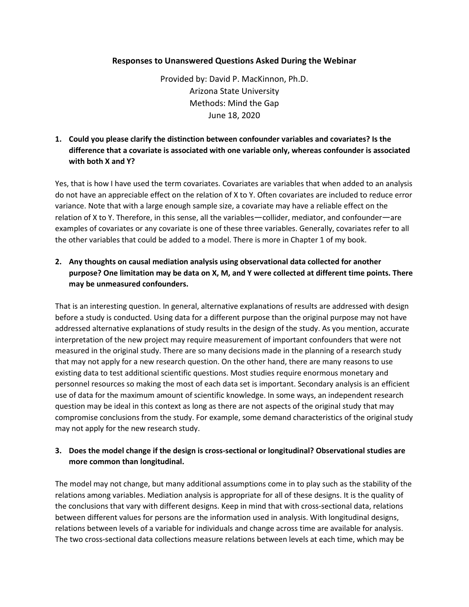### **Responses to Unanswered Questions Asked During the Webinar**

Provided by: David P. MacKinnon, Ph.D. Arizona State University Methods: Mind the Gap June 18, 2020

## **1. Could you please clarify the distinction between confounder variables and covariates? Is the difference that a covariate is associated with one variable only, whereas confounder is associated with both X and Y?**

Yes, that is how I have used the term covariates. Covariates are variables that when added to an analysis do not have an appreciable effect on the relation of X to Y. Often covariates are included to reduce error variance. Note that with a large enough sample size, a covariate may have a reliable effect on the relation of X to Y. Therefore, in this sense, all the variables—collider, mediator, and confounder—are examples of covariates or any covariate is one of these three variables. Generally, covariates refer to all the other variables that could be added to a model. There is more in Chapter 1 of my book.

# **2. Any thoughts on causal mediation analysis using observational data collected for another purpose? One limitation may be data on X, M, and Y were collected at different time points. There may be unmeasured confounders.**

That is an interesting question. In general, alternative explanations of results are addressed with design before a study is conducted. Using data for a different purpose than the original purpose may not have addressed alternative explanations of study results in the design of the study. As you mention, accurate interpretation of the new project may require measurement of important confounders that were not measured in the original study. There are so many decisions made in the planning of a research study that may not apply for a new research question. On the other hand, there are many reasons to use existing data to test additional scientific questions. Most studies require enormous monetary and personnel resources so making the most of each data set is important. Secondary analysis is an efficient use of data for the maximum amount of scientific knowledge. In some ways, an independent research question may be ideal in this context as long as there are not aspects of the original study that may compromise conclusions from the study. For example, some demand characteristics of the original study may not apply for the new research study.

## **3. Does the model change if the design is cross-sectional or longitudinal? Observational studies are more common than longitudinal.**

The model may not change, but many additional assumptions come in to play such as the stability of the relations among variables. Mediation analysis is appropriate for all of these designs. It is the quality of the conclusions that vary with different designs. Keep in mind that with cross-sectional data, relations between different values for persons are the information used in analysis. With longitudinal designs, relations between levels of a variable for individuals and change across time are available for analysis. The two cross-sectional data collections measure relations between levels at each time, which may be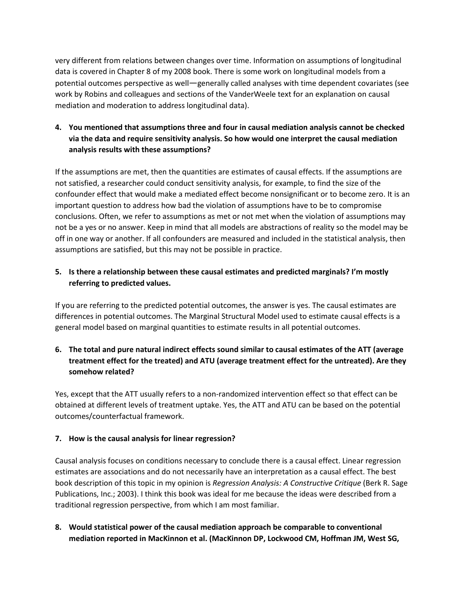very different from relations between changes over time. Information on assumptions of longitudinal data is covered in Chapter 8 of my 2008 book. There is some work on longitudinal models from a potential outcomes perspective as well—generally called analyses with time dependent covariates (see work by Robins and colleagues and sections of the VanderWeele text for an explanation on causal mediation and moderation to address longitudinal data).

**4. You mentioned that assumptions three and four in causal mediation analysis cannot be checked via the data and require sensitivity analysis. So how would one interpret the causal mediation analysis results with these assumptions?** 

If the assumptions are met, then the quantities are estimates of causal effects. If the assumptions are not satisfied, a researcher could conduct sensitivity analysis, for example, to find the size of the confounder effect that would make a mediated effect become nonsignificant or to become zero. It is an important question to address how bad the violation of assumptions have to be to compromise conclusions. Often, we refer to assumptions as met or not met when the violation of assumptions may not be a yes or no answer. Keep in mind that all models are abstractions of reality so the model may be off in one way or another. If all confounders are measured and included in the statistical analysis, then assumptions are satisfied, but this may not be possible in practice.

## **5. Is there a relationship between these causal estimates and predicted marginals? I'm mostly referring to predicted values.**

If you are referring to the predicted potential outcomes, the answer is yes. The causal estimates are differences in potential outcomes. The Marginal Structural Model used to estimate causal effects is a general model based on marginal quantities to estimate results in all potential outcomes.

# **6. The total and pure natural indirect effects sound similar to causal estimates of the ATT (average treatment effect for the treated) and ATU (average treatment effect for the untreated). Are they somehow related?**

Yes, except that the ATT usually refers to a non-randomized intervention effect so that effect can be obtained at different levels of treatment uptake. Yes, the ATT and ATU can be based on the potential outcomes/counterfactual framework.

## **7. How is the causal analysis for linear regression?**

Causal analysis focuses on conditions necessary to conclude there is a causal effect. Linear regression estimates are associations and do not necessarily have an interpretation as a causal effect. The best book description of this topic in my opinion is *Regression Analysis: A Constructive Critique* (Berk R. Sage Publications, Inc.; 2003). I think this book was ideal for me because the ideas were described from a traditional regression perspective, from which I am most familiar.

**8. Would statistical power of the causal mediation approach be comparable to conventional mediation reported in MacKinnon et al. (MacKinnon DP, Lockwood CM, Hoffman JM, West SG,**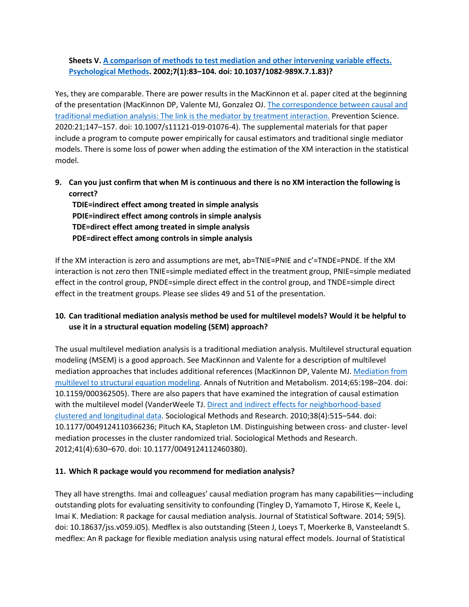## **Sheets V. [A comparison of methods to test mediation and other intervening variable effects.](https://pubmed.ncbi.nlm.nih.gov/11928892/)  [Psychological Methods.](https://pubmed.ncbi.nlm.nih.gov/11928892/) 2002;7(1):83–104. doi: 10.1037/1082-989X.7.1.83)?**

Yes, they are comparable. There are power results in the MacKinnon et al. paper cited at the beginning of the presentation (MacKinnon DP, Valente MJ, Gonzalez OJ. [The correspondence between causal and](https://pubmed.ncbi.nlm.nih.gov/31833021/)  [traditional mediation analysis: The link is the mediator by treatment interaction.](https://pubmed.ncbi.nlm.nih.gov/31833021/) Prevention Science. 2020:21;147–157. doi: 10.1007/s11121-019-01076-4). The supplemental materials for that paper include a program to compute power empirically for causal estimators and traditional single mediator models. There is some loss of power when adding the estimation of the XM interaction in the statistical model.

**9. Can you just confirm that when M is continuous and there is no XM interaction the following is correct?** 

**TDIE=indirect effect among treated in simple analysis PDIE=indirect effect among controls in simple analysis TDE=direct effect among treated in simple analysis PDE=direct effect among controls in simple analysis**

If the XM interaction is zero and assumptions are met, ab=TNIE=PNIE and c'=TNDE=PNDE. If the XM interaction is not zero then TNIE=simple mediated effect in the treatment group, PNIE=simple mediated effect in the control group, PNDE=simple direct effect in the control group, and TNDE=simple direct effect in the treatment groups. Please see slides 49 and 51 of the presentation.

# **10. Can traditional mediation analysis method be used for multilevel models? Would it be helpful to use it in a structural equation modeling (SEM) approach?**

The usual multilevel mediation analysis is a traditional mediation analysis. Multilevel structural equation modeling (MSEM) is a good approach. See MacKinnon and Valente for a description of multilevel mediation approaches that includes additional references (MacKinnon DP, Valente MJ[. Mediation from](https://pubmed.ncbi.nlm.nih.gov/25413658/)  [multilevel to structural equation modeling.](https://pubmed.ncbi.nlm.nih.gov/25413658/) Annals of Nutrition and Metabolism. 2014;65:198–204. doi: 10.1159/000362505). There are also papers that have examined the integration of causal estimation with the multilevel model (VanderWeele TJ. Direct and indirect effects for neighborhood-based [clustered and longitudinal data.](https://pubmed.ncbi.nlm.nih.gov/25473138/) Sociological Methods and Research. 2010;38(4):515–544. doi: 10.1177/0049124110366236; Pituch KA, Stapleton LM. Distinguishing between cross- and cluster- level mediation processes in the cluster randomized trial. Sociological Methods and Research. 2012;41(4):630–670. doi: 10.1177/0049124112460380).

#### **11. Which R package would you recommend for mediation analysis?**

They all have strengths. Imai and colleagues' causal mediation program has many capabilities—including outstanding plots for evaluating sensitivity to confounding (Tingley D, Yamamoto T, Hirose K, Keele L, Imai K. Mediation: R package for causal mediation analysis. Journal of Statistical Software. 2014; 59(5). doi: 10.18637/jss.v059.i05). Medflex is also outstanding (Steen J, Loeys T, Moerkerke B, Vansteelandt S. medflex: An R package for flexible mediation analysis using natural effect models. Journal of Statistical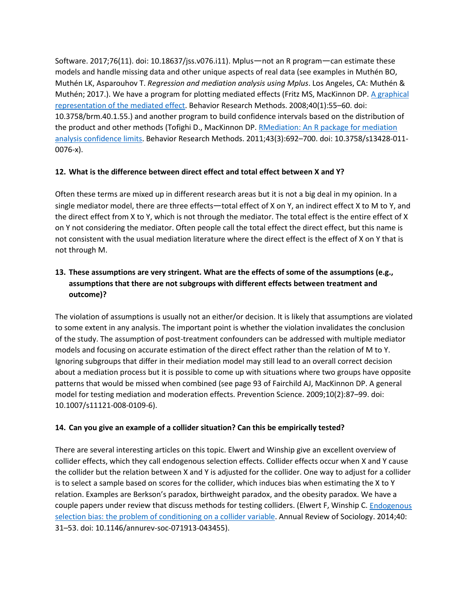Software. 2017;76(11). doi: 10.18637/jss.v076.i11). Mplus—not an R program—can estimate these models and handle missing data and other unique aspects of real data (see examples in Muthén BO, Muthén LK, Asparouhov T. *Regression and mediation analysis using Mplus*. Los Angeles, CA: Muthén & Muthén; 2017.). We have a program for plotting mediated effects (Fritz MS, MacKinnon DP. [A graphical](https://pubmed.ncbi.nlm.nih.gov/18411527/)  [representation of the mediated effect.](https://pubmed.ncbi.nlm.nih.gov/18411527/) Behavior Research Methods. 2008;40(1):55–60. doi: 10.3758/brm.40.1.55.) and another program to build confidence intervals based on the distribution of the product and other methods (Tofighi D., MacKinnon DP[. RMediation: An R package for mediation](https://pubmed.ncbi.nlm.nih.gov/21487904/)  [analysis confidence limits.](https://pubmed.ncbi.nlm.nih.gov/21487904/) Behavior Research Methods. 2011;43(3):692–700. doi: 10.3758/s13428-011- 0076-x).

### **12. What is the difference between direct effect and total effect between X and Y?**

Often these terms are mixed up in different research areas but it is not a big deal in my opinion. In a single mediator model, there are three effects—total effect of X on Y, an indirect effect X to M to Y, and the direct effect from X to Y, which is not through the mediator. The total effect is the entire effect of X on Y not considering the mediator. Often people call the total effect the direct effect, but this name is not consistent with the usual mediation literature where the direct effect is the effect of X on Y that is not through M.

# **13. These assumptions are very stringent. What are the effects of some of the assumptions (e.g., assumptions that there are not subgroups with different effects between treatment and outcome)?**

The violation of assumptions is usually not an either/or decision. It is likely that assumptions are violated to some extent in any analysis. The important point is whether the violation invalidates the conclusion of the study. The assumption of post-treatment confounders can be addressed with multiple mediator models and focusing on accurate estimation of the direct effect rather than the relation of M to Y. Ignoring subgroups that differ in their mediation model may still lead to an overall correct decision about a mediation process but it is possible to come up with situations where two groups have opposite patterns that would be missed when combined (see page 93 of Fairchild AJ, MacKinnon DP. A general model for testing mediation and moderation effects. Prevention Science. 2009;10(2):87–99. doi: 10.1007/s11121-008-0109-6).

## **14. Can you give an example of a collider situation? Can this be empirically tested?**

There are several interesting articles on this topic. Elwert and Winship give an excellent overview of collider effects, which they call endogenous selection effects. Collider effects occur when X and Y cause the collider but the relation between X and Y is adjusted for the collider. One way to adjust for a collider is to select a sample based on scores for the collider, which induces bias when estimating the X to Y relation. Examples are Berkson's paradox, birthweight paradox, and the obesity paradox. We have a couple papers under review that discuss methods for testing colliders. (Elwert F, Winship C[. Endogenous](https://pubmed.ncbi.nlm.nih.gov/30111904/)  [selection bias: the problem of conditioning on a collider variable.](https://pubmed.ncbi.nlm.nih.gov/30111904/) Annual Review of Sociology. 2014;40: 31–53. doi: 10.1146/annurev-soc-071913-043455).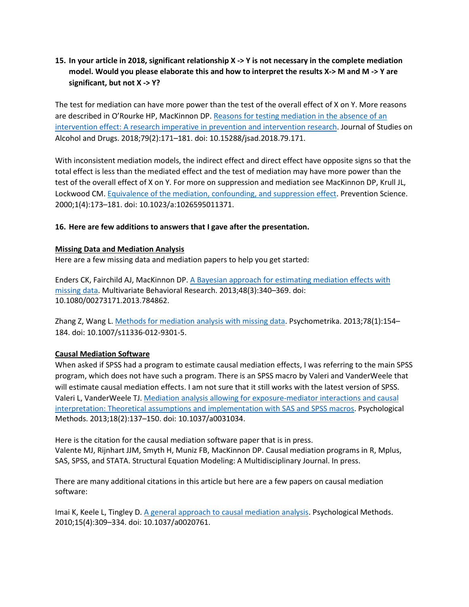## **15. In your article in 2018, significant relationship X -> Y is not necessary in the complete mediation model. Would you please elaborate this and how to interpret the results X-> M and M -> Y are significant, but not X -> Y?**

The test for mediation can have more power than the test of the overall effect of X on Y. More reasons are described in O'Rourke HP, MacKinnon DP. [Reasons for testing mediation in the absence of an](https://pubmed.ncbi.nlm.nih.gov/29553343/)  [intervention effect: A research imperative in prevention and intervention research.](https://pubmed.ncbi.nlm.nih.gov/29553343/) Journal of Studies on Alcohol and Drugs. 2018;79(2):171–181. doi: 10.15288/jsad.2018.79.171.

With inconsistent mediation models, the indirect effect and direct effect have opposite signs so that the total effect is less than the mediated effect and the test of mediation may have more power than the test of the overall effect of X on Y. For more on suppression and mediation see MacKinnon DP, Krull JL, Lockwood CM[. Equivalence of the mediation, confounding, and suppression effect.](https://pubmed.ncbi.nlm.nih.gov/11523746/) Prevention Science. 2000;1(4):173–181. doi: 10.1023/a:1026595011371.

### **16. Here are few additions to answers that I gave after the presentation.**

#### **Missing Data and Mediation Analysis**

Here are a few missing data and mediation papers to help you get started:

Enders CK, Fairchild AJ, MacKinnon DP. [A Bayesian approach for estimating mediation effects with](https://pubmed.ncbi.nlm.nih.gov/24039298/)  [missing data.](https://pubmed.ncbi.nlm.nih.gov/24039298/) Multivariate Behavioral Research. 2013;48(3):340–369. doi: 10.1080/00273171.2013.784862.

Zhang Z, Wang L. Methods for [mediation analysis with missing data.](https://pubmed.ncbi.nlm.nih.gov/25107523/) Psychometrika. 2013;78(1):154– 184. doi: 10.1007/s11336-012-9301-5.

#### **Causal Mediation Software**

When asked if SPSS had a program to estimate causal mediation effects, I was referring to the main SPSS program, which does not have such a program. There is an SPSS macro by Valeri and VanderWeele that will estimate causal mediation effects. I am not sure that it still works with the latest version of SPSS. Valeri L, VanderWeele TJ. [Mediation analysis allowing for exposure-mediator interactions and causal](https://pubmed.ncbi.nlm.nih.gov/23379553/)  [interpretation: Theoretical assumptions and implementation with SAS and SPSS macros.](https://pubmed.ncbi.nlm.nih.gov/23379553/) Psychological Methods. 2013;18(2):137–150. doi: 10.1037/a0031034.

Here is the citation for the causal mediation software paper that is in press. Valente MJ, Rijnhart JJM, Smyth H, Muniz FB, MacKinnon DP. Causal mediation programs in R, Mplus, SAS, SPSS, and STATA. Structural Equation Modeling: A Multidisciplinary Journal. In press.

There are many additional citations in this article but here are a few papers on causal mediation software:

Imai K, Keele L, Tingley D. A general approach to [causal mediation analysis.](https://pubmed.ncbi.nlm.nih.gov/20954780/) Psychological Methods. 2010;15(4):309–334. doi: 10.1037/a0020761.